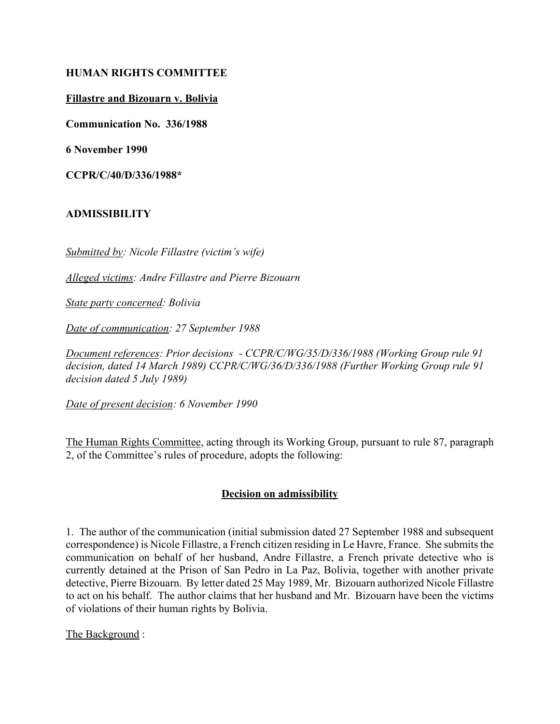## **HUMAN RIGHTS COMMITTEE**

## **Fillastre and Bizouarn v. Bolivia**

**Communication No. 336/1988**

**6 November 1990**

**CCPR/C/40/D/336/1988\***

## **ADMISSIBILITY**

*Submitted by: Nicole Fillastre (victim's wife)* 

*Alleged victims: Andre Fillastre and Pierre Bizouarn*

*State party concerned: Bolivia*

*Date of communication: 27 September 1988*

*Document references: Prior decisions - CCPR/C/WG/35/D/336/1988 (Working Group rule 91 decision, dated 14 March 1989) CCPR/C/WG/36/D/336/1988 (Further Working Group rule 91 decision dated 5 July 1989)*

*Date of present decision: 6 November 1990*

The Human Rights Committee, acting through its Working Group, pursuant to rule 87, paragraph 2, of the Committee's rules of procedure, adopts the following:

## **Decision on admissibility**

1. The author of the communication (initial submission dated 27 September 1988 and subsequent correspondence) is Nicole Fillastre, a French citizen residing in Le Havre, France. She submits the communication on behalf of her husband, Andre Fillastre, a French private detective who is currently detained at the Prison of San Pedro in La Paz, Bolivia, together with another private detective, Pierre Bizouarn. By letter dated 25 May 1989, Mr. Bizouarn authorized Nicole Fillastre to act on his behalf. The author claims that her husband and Mr. Bizouarn have been the victims of violations of their human rights by Bolivia.

The Background :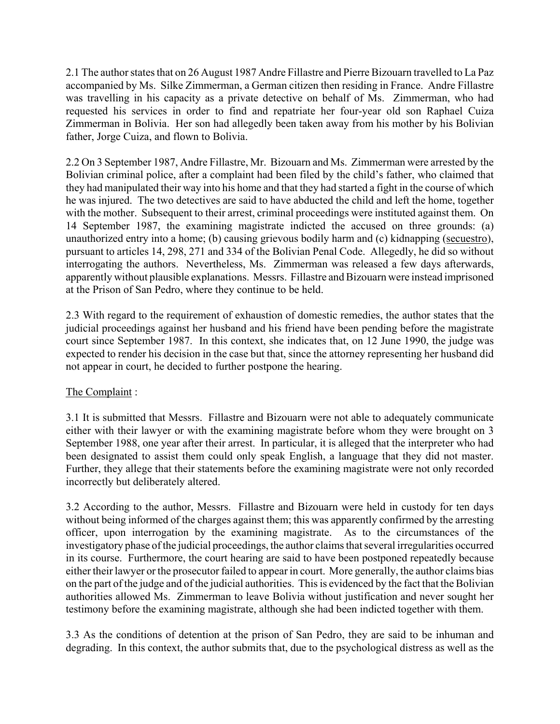2.1 The author states that on 26 August 1987 Andre Fillastre and Pierre Bizouarn travelled to La Paz accompanied by Ms. Silke Zimmerman, a German citizen then residing in France. Andre Fillastre was travelling in his capacity as a private detective on behalf of Ms. Zimmerman, who had requested his services in order to find and repatriate her four-year old son Raphael Cuiza Zimmerman in Bolivia. Her son had allegedly been taken away from his mother by his Bolivian father, Jorge Cuiza, and flown to Bolivia.

2.2 On 3 September 1987, Andre Fillastre, Mr. Bizouarn and Ms. Zimmerman were arrested by the Bolivian criminal police, after a complaint had been filed by the child's father, who claimed that they had manipulated their way into his home and that they had started a fight in the course of which he was injured. The two detectives are said to have abducted the child and left the home, together with the mother. Subsequent to their arrest, criminal proceedings were instituted against them. On 14 September 1987, the examining magistrate indicted the accused on three grounds: (a) unauthorized entry into a home; (b) causing grievous bodily harm and (c) kidnapping (secuestro), pursuant to articles 14, 298, 271 and 334 of the Bolivian Penal Code. Allegedly, he did so without interrogating the authors. Nevertheless, Ms. Zimmerman was released a few days afterwards, apparently without plausible explanations. Messrs. Fillastre and Bizouarn were instead imprisoned at the Prison of San Pedro, where they continue to be held.

2.3 With regard to the requirement of exhaustion of domestic remedies, the author states that the judicial proceedings against her husband and his friend have been pending before the magistrate court since September 1987. In this context, she indicates that, on 12 June 1990, the judge was expected to render his decision in the case but that, since the attorney representing her husband did not appear in court, he decided to further postpone the hearing.

# The Complaint:

3.1 It is submitted that Messrs. Fillastre and Bizouarn were not able to adequately communicate either with their lawyer or with the examining magistrate before whom they were brought on 3 September 1988, one year after their arrest. In particular, it is alleged that the interpreter who had been designated to assist them could only speak English, a language that they did not master. Further, they allege that their statements before the examining magistrate were not only recorded incorrectly but deliberately altered.

3.2 According to the author, Messrs. Fillastre and Bizouarn were held in custody for ten days without being informed of the charges against them; this was apparently confirmed by the arresting officer, upon interrogation by the examining magistrate. As to the circumstances of the investigatory phase of the judicial proceedings, the author claims that several irregularities occurred in its course. Furthermore, the court hearing are said to have been postponed repeatedly because either their lawyer or the prosecutor failed to appear in court. More generally, the author claims bias on the part of the judge and of the judicial authorities. This is evidenced by the fact that the Bolivian authorities allowed Ms. Zimmerman to leave Bolivia without justification and never sought her testimony before the examining magistrate, although she had been indicted together with them.

3.3 As the conditions of detention at the prison of San Pedro, they are said to be inhuman and degrading. In this context, the author submits that, due to the psychological distress as well as the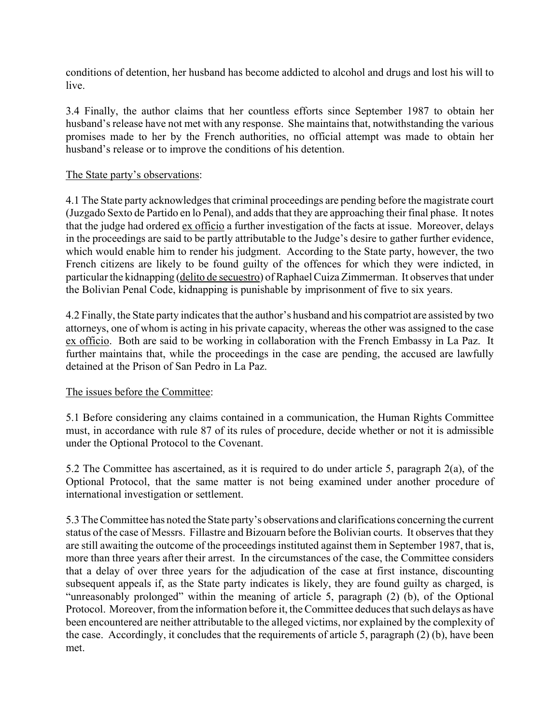conditions of detention, her husband has become addicted to alcohol and drugs and lost his will to live.

3.4 Finally, the author claims that her countless efforts since September 1987 to obtain her husband's release have not met with any response. She maintains that, notwithstanding the various promises made to her by the French authorities, no official attempt was made to obtain her husband's release or to improve the conditions of his detention.

#### The State party's observations:

4.1 The State party acknowledges that criminal proceedings are pending before the magistrate court (Juzgado Sexto de Partido en lo Penal), and adds that they are approaching their final phase. It notes that the judge had ordered ex officio a further investigation of the facts at issue. Moreover, delays in the proceedings are said to be partly attributable to the Judge's desire to gather further evidence, which would enable him to render his judgment. According to the State party, however, the two French citizens are likely to be found guilty of the offences for which they were indicted, in particular the kidnapping (delito de secuestro) of Raphael Cuiza Zimmerman. It observes that under the Bolivian Penal Code, kidnapping is punishable by imprisonment of five to six years.

4.2 Finally, the State party indicates that the author's husband and his compatriot are assisted by two attorneys, one of whom is acting in his private capacity, whereas the other was assigned to the case ex officio. Both are said to be working in collaboration with the French Embassy in La Paz. It further maintains that, while the proceedings in the case are pending, the accused are lawfully detained at the Prison of San Pedro in La Paz.

## The issues before the Committee:

5.1 Before considering any claims contained in a communication, the Human Rights Committee must, in accordance with rule 87 of its rules of procedure, decide whether or not it is admissible under the Optional Protocol to the Covenant.

5.2 The Committee has ascertained, as it is required to do under article 5, paragraph 2(a), of the Optional Protocol, that the same matter is not being examined under another procedure of international investigation or settlement.

5.3 The Committee has noted the State party's observations and clarifications concerning the current status of the case of Messrs. Fillastre and Bizouarn before the Bolivian courts. It observes that they are still awaiting the outcome of the proceedings instituted against them in September 1987, that is, more than three years after their arrest. In the circumstances of the case, the Committee considers that a delay of over three years for the adjudication of the case at first instance, discounting subsequent appeals if, as the State party indicates is likely, they are found guilty as charged, is "unreasonably prolonged" within the meaning of article 5, paragraph  $(2)$  (b), of the Optional Protocol. Moreover, from the information before it, the Committee deduces that such delays as have been encountered are neither attributable to the alleged victims, nor explained by the complexity of the case. Accordingly, it concludes that the requirements of article 5, paragraph (2) (b), have been met.